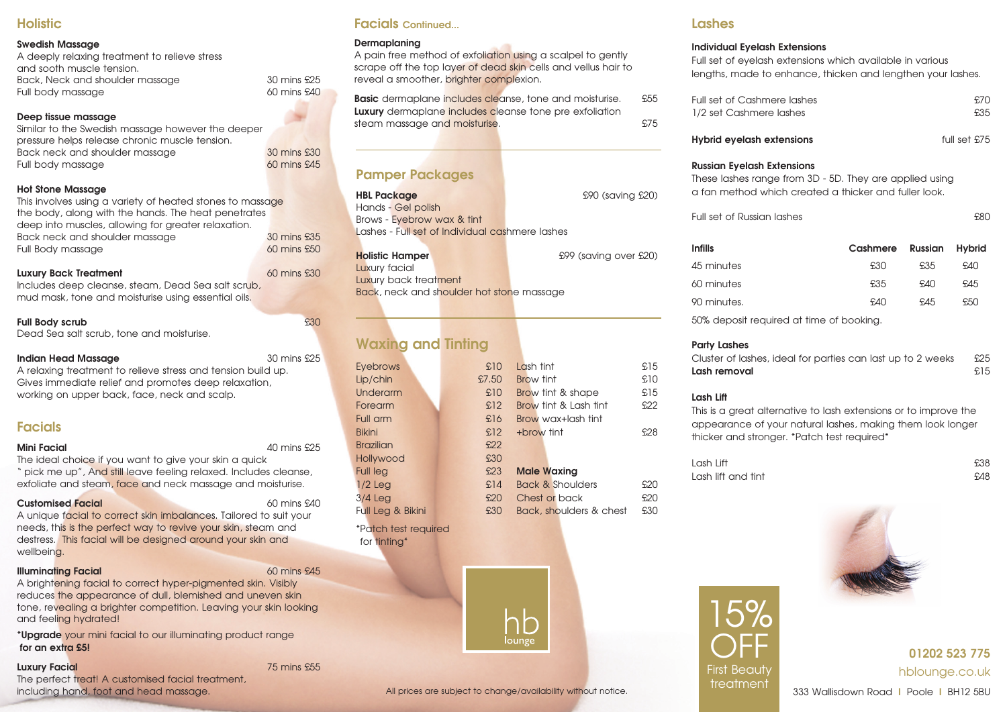# **Holistic**

## **Swedish Massage**

| A deeply relaxing treatment to relieve stress |
|-----------------------------------------------|
| and sooth muscle tension.                     |
| Back, Neck and shoulder massage               |
| Full body massage                             |

## **Deep tissue massage**

Similar to the Swedish massage however the deeper pressure helps release chronic muscle tension. Back neck and shoulder massage 30 mins £30<br>
30 mins £30 and shoulder massage 30 mins £45 Full body massage

## **Hot Stone Massage**

This involves using a variety of heated stones to massage the body, along with the hands. The heat penetrates deep into muscles, allowing for greater relaxation. Back neck and shoulder massage 30 mins £35 Full Body massage 60 mins £50

## **Luxury Back Treatment** 60 mins £30

Includes deep cleanse, steam, Dead Sea salt scrub, mud mask, tone and moisturise using essential oils.

# **Full Body scrub**  $\overline{630}$

Dead Sea salt scrub, tone and moisturise.

## **Indian Head Massage** 30 mins £25

 $30$  mins  $£25$  $60$  mins  $$40$ 

A relaxing treatment to relieve stress and tension build up. Gives immediate relief and promotes deep relaxation, working on upper back, face, neck and scalp.

# **Facials**

**Mini Facial** 40 mins £25

The ideal choice if you want to give your skin a quick " pick me up", And still leave feeling relaxed. Includes cleanse, exfoliate and steam, face and neck massage and moisturise.

# **Customised Facial** 60 mins £40

A unique facial to correct skin imbalances. Tailored to suit your needs, this is the perfect way to revive your skin, steam and destress. This facial will be designed around your skin and wellbeing.

# **Illuminating Facial** 60 mins £45

A brightening facial to correct hyper-pigmented skin. Visibly reduces the appearance of dull, blemished and uneven skin tone, revealing a brighter competition. Leaving your skin looking and feeling hydrated!

**\*Upgrade** your mini facial to our illuminating product range **for an extra £5!**

# **Luxury Facial** 75 mins £55

The perfect treat! A customised facial treatment, including hand, foot and head massage.

# **Facials Continued...**

## **Dermaplaning**

A pain free method of exfoliation using a scalpel to gently scrape off the top layer of dead skin cells and vellus hair to reveal a smoother, brighter complexion.

**Basic** dermaplane includes cleanse, tone and moisturise. £55 **Luxury** dermaplane includes cleanse tone pre exfoliation steam massage and moisturise.

# **Pamper Packages**

| <b>HBL Package</b>                              | £90 (saving £20) |
|-------------------------------------------------|------------------|
| Hands - Gel polish                              |                  |
| Brows - Eyebrow wax & tint                      |                  |
| Lashes - Full set of Individual cashmere lashes |                  |
|                                                 |                  |

| <b>Holistic Hamper</b>                    | £99 (saving over £20) |
|-------------------------------------------|-----------------------|
| Luxury facial                             |                       |
| Luxury back treatment                     |                       |
| Back, neck and shoulder hot stone massage |                       |

# **Waxing and Tinting**

for tinting\*

| <b>Eyebrows</b>      | £10   | Lash tint               | £15 |
|----------------------|-------|-------------------------|-----|
| Lip/chin             | £7,50 | <b>Brow tint</b>        | £10 |
| Underarm             | £10   | Brow tint & shape       | £15 |
| Forearm              | £12   | Brow tint & Lash tint   | £22 |
| Full arm             | £16   | Brow wax+lash tint      |     |
| <b>Bikini</b>        | £12   | +brow tint              | £28 |
| <b>Brazilian</b>     | £22   |                         |     |
| Hollywood            | £30   |                         |     |
| <b>Full leg</b>      | £23   | <b>Male Waxing</b>      |     |
| $1/2$ Leg            | £14   | Back & Shoulders        | £20 |
| $3/4$ Leg            | £20   | Chest or back           | £20 |
| Full Leg & Bikini    | £30   | Back, shoulders & chest | £30 |
| *Patch test required |       |                         |     |



# **Lashes**

## **Individual Eyelash Extensions**

Full set of eyelash extensions which available in various lengths, made to enhance, thicken and lengthen your lashes.

| Full set of Cashmere lashes | .S.70 |
|-----------------------------|-------|
| 1/2 set Cashmere lashes     | £35   |

| Hybrid eyelash extensions | full set £75 |  |  |
|---------------------------|--------------|--|--|
|---------------------------|--------------|--|--|

## **Russian Eyelash Extensions**

| These lashes range from 3D - 5D. They are applied using |
|---------------------------------------------------------|
| a fan method which created a thicker and fuller look.   |

| Full set of Russian lashes | £80 |
|----------------------------|-----|
|                            |     |

| <b>Infills</b> | Cashmere | Russian | Hybrid |
|----------------|----------|---------|--------|
| 45 minutes     | £30      | £35     | AAN.   |
| 60 minutes     | £35      | A40     | £45    |
| 90 minutes.    | fAD      | £45     | £50    |
|                |          |         |        |

50% deposit required at time of booking.

## **Party Lashes**

Cluster of lashes, ideal for parties can last up to 2 weeks £25 **Lash removal** £15

## **Lash Lift**

This is a great alternative to lash extensions or to improve the appearance of your natural lashes, making them look longer thicker and stronger. \*Patch test required\*

Lash Lift £38 Lash lift and tint £48

15%

OFF **First Beauty** treatment





**01202 523 775** hblounge.co.uk

333 Wallisdown Road **I** Poole **I** BH12 5BU